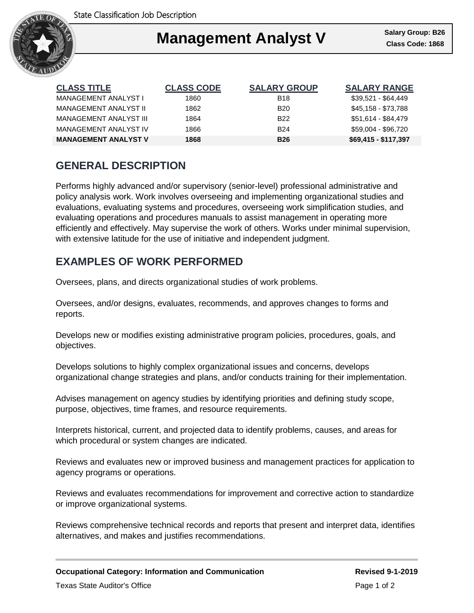

### Ι **Management Analyst V**

| <b>CLASS TITLE</b>          | <b>CLASS CODE</b> | <b>SALARY GROUP</b> | <b>SALARY RANGE</b>  |
|-----------------------------|-------------------|---------------------|----------------------|
| MANAGEMENT ANALYST I        | 1860              | <b>B18</b>          | $$39.521 - $64.449$  |
| MANAGEMENT ANALYST II       | 1862              | <b>B20</b>          | \$45.158 - \$73.788  |
| MANAGEMENT ANALYST III      | 1864              | <b>B22</b>          | \$51,614 - \$84,479  |
| MANAGEMENT ANALYST IV       | 1866              | <b>B24</b>          | \$59.004 - \$96.720  |
| <b>MANAGEMENT ANALYST V</b> | 1868              | <b>B26</b>          | \$69,415 - \$117,397 |

# **GENERAL DESCRIPTION**

Performs highly advanced and/or supervisory (senior-level) professional administrative and policy analysis work. Work involves overseeing and implementing organizational studies and evaluations, evaluating systems and procedures, overseeing work simplification studies, and evaluating operations and procedures manuals to assist management in operating more efficiently and effectively. May supervise the work of others. Works under minimal supervision, with extensive latitude for the use of initiative and independent judgment.

### **EXAMPLES OF WORK PERFORMED**

Oversees, plans, and directs organizational studies of work problems.

Oversees, and/or designs, evaluates, recommends, and approves changes to forms and reports.

Develops new or modifies existing administrative program policies, procedures, goals, and objectives.

Develops solutions to highly complex organizational issues and concerns, develops organizational change strategies and plans, and/or conducts training for their implementation.

Advises management on agency studies by identifying priorities and defining study scope, purpose, objectives, time frames, and resource requirements.

Interprets historical, current, and projected data to identify problems, causes, and areas for which procedural or system changes are indicated.

Reviews and evaluates new or improved business and management practices for application to agency programs or operations.

Reviews and evaluates recommendations for improvement and corrective action to standardize or improve organizational systems.

Reviews comprehensive technical records and reports that present and interpret data, identifies alternatives, and makes and justifies recommendations.